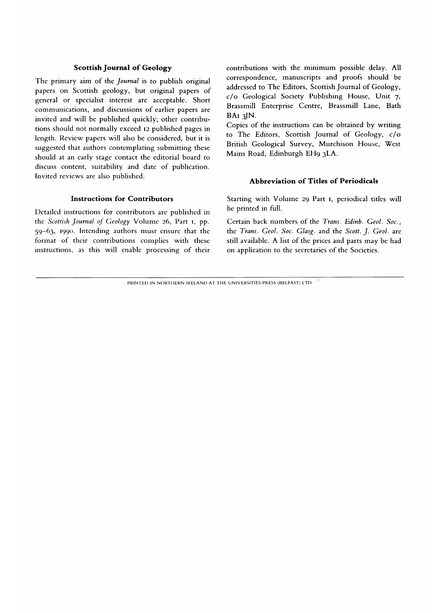## **Scottish Journal of Geology**

The primary aim of the *Journal* is to publish original papers on Scottish geology, but original papers of general or specialist interest are acceptable. Short communications, and discussions of earlier papers are invited and will be published quickly; other contributions should not normally exceed 12 published pages in length. Review papers will also be considered, but it is suggested that authors contemplating submitting these should at an early stage contact the editorial board to discuss content, suitability and date of publication. Invited reviews are also published.

## **Instructions for Contributors**

Detailed instructions for contributors are published in the *Scottish Journal of Geology* Volume 26, Part **1,** pp. 59-63, 1990. Intending authors must ensure that the format of their contributions complies with these instructions, as this will enable processing of their contributions with the minimum possible delay. All correspondence, manuscripts and proofs should be addressed to The Editors, Scottish Journal of Geology, c/o Geological Society Publishing House, Unit 7, Brassmill Enterprise Centre, Brassmill Lane, Bath BAi 3JN.

Copies of the instructions can be obtained by writing to The Editors, Scottish Journal of Geology, c/o British Geological Survey, Murchison House, West Mains Road, Edinburgh EH9 3LA.

## **Abbreviation o f Titles o f Periodicals**

Starting with Volume 29 Part 1, periodical titles will be printed in full.

Certain back numbers of the *Trans. Edinb. Geol. Soc,*  the *Trans. Geol. Soc. Glasg.* and the *Scott. J. Geol.* are still available. A list of the prices and parts may be had on application to the secretaries of the Societies.

PRINTED IN NORTHERN IRELAND AT THE UNIVERSITIES PRESS (BELFAST) LTD.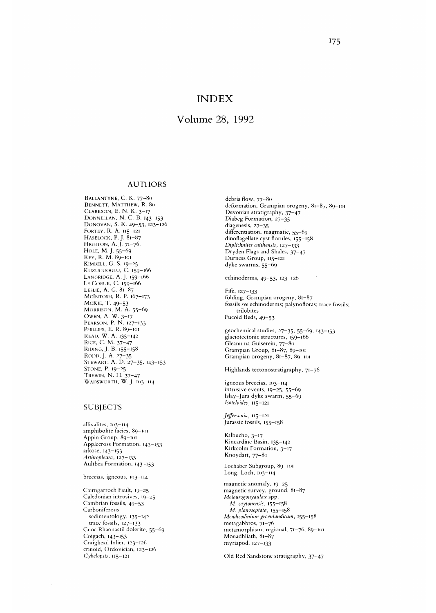# INDEX

# Volume 28, 1992

#### AUTHORS

BALLANTYNE, C. K. 77-80 BENNETT, MATTHEW, R. 80 CLARKSON, E. N. K. 3-17 DONNELLAN, N. C. B. 143-153 Donovan, S. K. 49–53, 123–126 FORTEY, R. A. 115-121 HASELOCK, P.J. 81-87 HIGHTON, A. J. 71-76. Hole, M. J. 55–69 KEY, R. M. 89-101 KIMHELL, G. S. 19-25 KUZUCUOGLU, C. 159-166 LANGRIDGE, A.J. 159-166 LE COEUR, C. 159-166 LESLIE, A. G. 81-87 MCINTOSH, R. P. 167-173 MCKIE, T. 49-53 MORRISON, M. A. 55–69 OWEN A. W. 3-17 PEARSON, P. N. 127-133 PHILLIPS, E. R. 89-101 READ, W. A. 135-142 RICE, C. M. 37-47 RIDING, J. B. 155-158 RODD, J. A. 27-35 STEWART, A. D. 27-35, 143-153 Stone, P. 19–25<br>Trewini N. H. 37–47  $W$ ADSWORTH  $\overline{W}$  1 103-114

#### SUBJECTS

allivalites, 103-114 amphibolite facies, 89-101 Appin Group, 89-101 Applccross Formation, 143—153 arkosc, 143-153 *Arthropleura,* 127-133 Aultbea Formation, 143-153

breccias, igneous, 103—114

Cairngarroch Fault, 19-25 Caledonian intrusives, 19-25 Cambrian fossils, 49-53 Carboniferous sedimentology, 135-142 trace fossils, 127-133 Cnoc Rhaonastil dolerite, 55-69 Coigach, 143-153 Craighead Inlier, 123-126 crinoid, Ordovician, 123-126 *Cybelopsis,* 115-121

 $\bar{z}$ 

debris flow, 77-80 deformation, Grampian orogeny, 81-87, 89-101 Devonian stratigraphy, 37-47 Diabeg Formation, 27-35 diagenesis, 27-35 differentiation, magmatic, 55-69 dinoflagellate cyst florules, 155-158 *Diplichnites cuithensis,* 127—133 Dryden Flags and Shales, 37-47 Durness Group, 115-121 dyke swarms, 55-69

echinoderms, 49-53, 123-126

Fife, 127-133 folding, Grampian orogeny, 81-87 fossils *see* echinoderms; palynofloras; trace fossils; trilobites Fucoid Beds, 49-53

geochemical studies, 27–35, 55–69, 143–153 glaciotectonic structures, 159-166 Gleann na Guiserein, 77-80 Grampian Group, 81-87, 89-101 Grampian orogeny, 81-87, 89-101

Highlands tectonostratigraphy, 71-76

igneous breccias, 103-114 intrusive events, 19-25, 55-69 Islay-Jura dyke swarm, 55-69 *Isoteloides,* 115-121

*Jeffersonia,* 115-121 Jurassic fossils, 155-158

Kilbucho, 3-17 Kincardine Basin, 135—142 Kirkcolm Formation, 3-17 Knoydart, 77-80

Lochaber Subgroup, 89-101 Long, Loch,  $103 - 114$ 

magnetic anomaly, 19-25 magnetic survey, ground, 81-87 *Meiourogonyaulax* spp. *M. caytonensis,* 155-158 *M. planoseptata,* 155-158 *Mendicodinium groenlandicum*, 155-158 metagabbros, 71-76 metamorphism, regional, 71-76, 89-101 Monadhliath, 81-87 myriapod, 127-133

Old Red Sandstone stratigraphy, 37-47